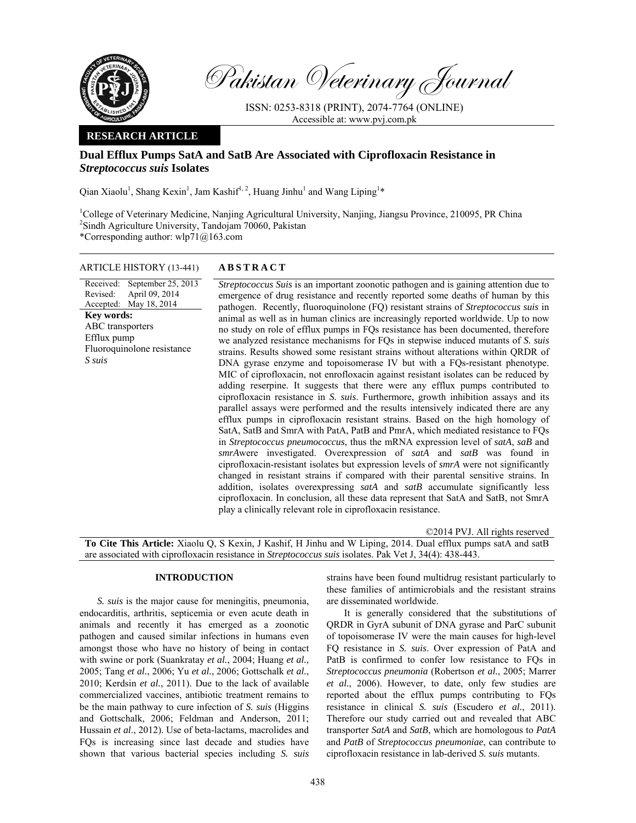

Pakistan Veterinary Journal

ISSN: 0253-8318 (PRINT), 2074-7764 (ONLINE) Accessible at: www.pvj.com.pk

## **RESEARCH ARTICLE**

# **Dual Efflux Pumps SatA and SatB Are Associated with Ciprofloxacin Resistance in**  *Streptococcus suis* **Isolates**

Qian Xiaolu<sup>1</sup>, Shang Kexin<sup>1</sup>, Jam Kashif<sup>1, 2</sup>, Huang Jinhu<sup>1</sup> and Wang Liping<sup>1\*</sup>

<sup>1</sup>College of Veterinary Medicine, Nanjing Agricultural University, Nanjing, Jiangsu Province, 210095, PR China <sup>2</sup>Sindh Agriculture University, Tandojam 70060, Pakistan \*Corresponding author: wlp71@163.com

# ARTICLE HISTORY (13-441) **ABSTRACT**

Received: Revised: Accepted: September 25, 2013 April 09, 2014 May 18, 2014 **Key words:**  ABC transporters Efflux pump Fluoroquinolone resistance *S suis*

*Streptococcus Suis* is an important zoonotic pathogen and is gaining attention due to emergence of drug resistance and recently reported some deaths of human by this pathogen. Recently, fluoroquinolone (FQ) resistant strains of *Streptococcus suis* in animal as well as in human clinics are increasingly reported worldwide. Up to now no study on role of efflux pumps in FQs resistance has been documented, therefore we analyzed resistance mechanisms for FQs in stepwise induced mutants of *S. suis* strains. Results showed some resistant strains without alterations within QRDR of DNA gyrase enzyme and topoisomerase IV but with a FQs-resistant phenotype. MIC of ciprofloxacin, not enrofloxacin against resistant isolates can be reduced by adding reserpine. It suggests that there were any efflux pumps contributed to ciprofloxacin resistance in *S. suis*. Furthermore, growth inhibition assays and its parallel assays were performed and the results intensively indicated there are any efflux pumps in ciprofloxacin resistant strains. Based on the high homology of SatA, SatB and SmrA with PatA, PatB and PmrA, which mediated resistance to FQs in *Streptococcus pneumococcus*, thus the mRNA expression level of *satA*, *saB* and *smrA*were investigated. Overexpression of *satA* and *satB* was found in ciprofloxacin-resistant isolates but expression levels of *smrA* were not significantly changed in resistant strains if compared with their parental sensitive strains. In addition, isolates overexpressing *satA* and *satB* accumulate significantly less ciprofloxacin. In conclusion, all these data represent that SatA and SatB, not SmrA play a clinically relevant role in ciprofloxacin resistance.

©2014 PVJ. All rights reserved **To Cite This Article:** Xiaolu Q, S Kexin, J Kashif, H Jinhu and W Liping, 2014. Dual efflux pumps satA and satB are associated with ciprofloxacin resistance in *Streptococcus suis* isolates. Pak Vet J, 34(4): 438-443.

## **INTRODUCTION**

*S. suis* is the major cause for meningitis, pneumonia, endocarditis, arthritis, septicemia or even acute death in animals and recently it has emerged as a zoonotic pathogen and caused similar infections in humans even amongst those who have no history of being in contact with swine or pork (Suankratay *et al.*, 2004; Huang *et al.*, 2005; Tang *et al.*, 2006; Yu *et al.*, 2006; Gottschalk *et al.*, 2010; Kerdsin *et al.*, 2011). Due to the lack of available commercialized vaccines, antibiotic treatment remains to be the main pathway to cure infection of *S. suis* (Higgins and Gottschalk, 2006; Feldman and Anderson, 2011; Hussain *et al*., 2012). Use of beta-lactams, macrolides and FQs is increasing since last decade and studies have shown that various bacterial species including *S. suis*

strains have been found multidrug resistant particularly to these families of antimicrobials and the resistant strains are disseminated worldwide.

It is generally considered that the substitutions of QRDR in GyrA subunit of DNA gyrase and ParC subunit of topoisomerase IV were the main causes for high-level FQ resistance in *S. suis*. Over expression of PatA and PatB is confirmed to confer low resistance to FQs in *Streptococcus pneumonia* (Robertson *et al.*, 2005; Marrer *et al.*, 2006). However, to date, only few studies are reported about the efflux pumps contributing to FQs resistance in clinical *S. suis* (Escudero *et al.*, 2011). Therefore our study carried out and revealed that ABC transporter *SatA* and *SatB*, which are homologous to *PatA* and *PatB* of *Streptococcus pneumoniae*, can contribute to ciprofloxacin resistance in lab-derived *S. suis* mutants.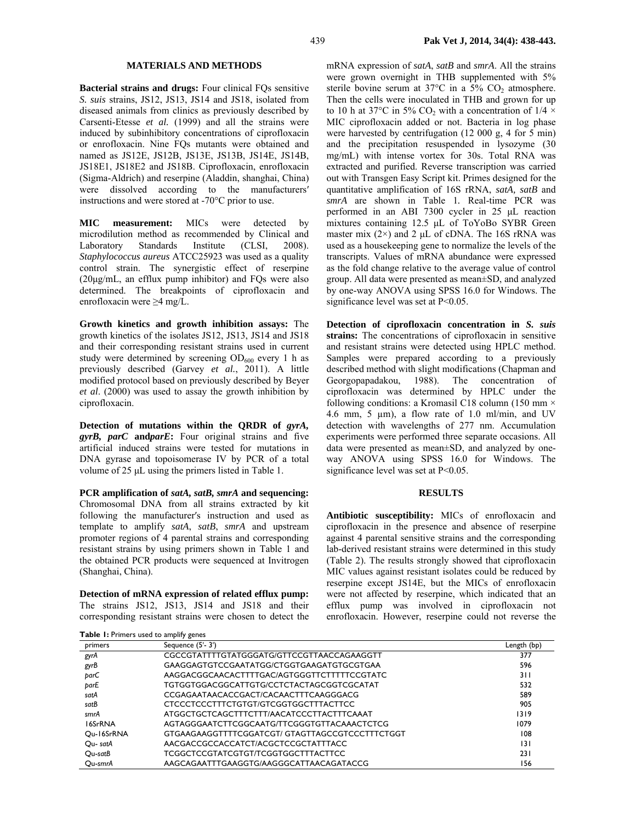## **MATERIALS AND METHODS**

**Bacterial strains and drugs:** Four clinical FQs sensitive *S. suis* strains, JS12, JS13, JS14 and JS18, isolated from diseased animals from clinics as previously described by Carsenti-Etesse *et al.* (1999) and all the strains were induced by subinhibitory concentrations of ciprofloxacin or enrofloxacin. Nine FQs mutants were obtained and named as JS12E, JS12B, JS13E, JS13B, JS14E, JS14B, JS18E1, JS18E2 and JS18B. Ciprofloxacin, enrofloxacin (Sigma-Aldrich) and reserpine (Aladdin, shanghai, China) were dissolved according to the manufacturers′ instructions and were stored at -70°C prior to use.

**MIC measurement:** MICs were detected by microdilution method as recommended by Clinical and Laboratory Standards Institute (CLSI, 2008). *Staphylococcus aureus* ATCC25923 was used as a quality control strain. The synergistic effect of reserpine (20µg/mL, an efflux pump inhibitor) and FQs were also determined. The breakpoints of ciprofloxacin and enrofloxacin were ≥4 mg/L.

**Growth kinetics and growth inhibition assays:** The growth kinetics of the isolates JS12, JS13, JS14 and JS18 and their corresponding resistant strains used in current study were determined by screening  $OD_{600}$  every 1 h as previously described (Garvey *et al.*, 2011). A little modified protocol based on previously described by Beyer *et al*. (2000) was used to assay the growth inhibition by ciprofloxacin.

**Detection of mutations within the QRDR of** *gyrA, gyrB, parC* **and***parE***:** Four original strains and five artificial induced strains were tested for mutations in DNA gyrase and topoisomerase IV by PCR of a total volume of 25 µL using the primers listed in Table 1.

**PCR amplification of** *satA, satB, smrA* **and sequencing:**  Chromosomal DNA from all strains extracted by kit following the manufacturer′s instruction and used as template to amplify *satA*, *satB*, *smrA* and upstream promoter regions of 4 parental strains and corresponding resistant strains by using primers shown in Table 1 and the obtained PCR products were sequenced at Invitrogen (Shanghai, China).

**Detection of mRNA expression of related efflux pump:**  The strains JS12, JS13, JS14 and JS18 and their corresponding resistant strains were chosen to detect the mRNA expression of *satA*, *satB* and *smrA*. All the strains were grown overnight in THB supplemented with 5% sterile bovine serum at  $37^{\circ}$ C in a  $5\%$  CO<sub>2</sub> atmosphere. Then the cells were inoculated in THB and grown for up to 10 h at 37°C in 5% CO<sub>2</sub> with a concentration of 1/4  $\times$ MIC ciprofloxacin added or not. Bacteria in log phase were harvested by centrifugation (12 000 g, 4 for 5 min) and the precipitation resuspended in lysozyme (30 mg/mL) with intense vortex for 30s. Total RNA was extracted and purified. Reverse transcription was carried out with Transgen Easy Script kit. Primes designed for the quantitative amplification of 16S rRNA, *satA, satB* and *smrA* are shown in Table 1*.* Real-time PCR was performed in an ABI 7300 cycler in 25 µL reaction mixtures containing 12.5 µL of ToYoBo SYBR Green master mix  $(2\times)$  and 2 µL of cDNA. The 16S rRNA was used as a housekeeping gene to normalize the levels of the transcripts. Values of mRNA abundance were expressed as the fold change relative to the average value of control group. All data were presented as mean±SD, and analyzed by one-way ANOVA using SPSS 16.0 for Windows. The significance level was set at P<0.05.

**Detection of ciprofloxacin concentration in** *S. suis* **strains:** The concentrations of ciprofloxacin in sensitive and resistant strains were detected using HPLC method. Samples were prepared according to a previously described method with slight modifications (Chapman and Georgopapadakou, 1988). The concentration of ciprofloxacin was determined by HPLC under the following conditions: a Kromasil C18 column (150 mm  $\times$ 4.6 mm, 5 µm), a flow rate of 1.0 ml/min, and UV detection with wavelengths of 277 nm. Accumulation experiments were performed three separate occasions. All data were presented as mean±SD, and analyzed by oneway ANOVA using SPSS 16.0 for Windows. The significance level was set at P<0.05.

### **RESULTS**

**Antibiotic susceptibility:** MICs of enrofloxacin and ciprofloxacin in the presence and absence of reserpine against 4 parental sensitive strains and the corresponding lab-derived resistant strains were determined in this study (Table 2). The results strongly showed that ciprofloxacin MIC values against resistant isolates could be reduced by reserpine except JS14E, but the MICs of enrofloxacin were not affected by reserpine, which indicated that an efflux pump was involved in ciprofloxacin not enrofloxacin. However, reserpine could not reverse the

| <b>I able 1.</b> Filliners used to alliplify genes |                                                |             |  |  |  |  |
|----------------------------------------------------|------------------------------------------------|-------------|--|--|--|--|
| primers                                            | Sequence (5'-3')                               | Length (bp) |  |  |  |  |
| gyrA                                               | CGCCGTATTTTGTATGGGATG/GTTCCGTTAACCAGAAGGTT     | 377         |  |  |  |  |
| gyrB                                               | GAAGGAGTGTCCGAATATGG/CTGGTGAAGATGTGCGTGAA      | 596         |  |  |  |  |
| parC                                               | AAGGACGGCAACACTTTTGAC/AGTGGGTTCTTTTTCCGTATC    | 311         |  |  |  |  |
| parE                                               | TGTGGTGGACGGCATTGTG/CCTCTACTAGCGGTCGCATAT      | 532         |  |  |  |  |
| satA                                               | CCGAGAATAACACCGACT/CACAACTTTCAAGGGACG          | 589         |  |  |  |  |
| satB                                               | CTCCCTCCCTTTCTGTGT/GTCGGTGGCTTTACTTCC          | 905         |  |  |  |  |
| smrA                                               | ATGGCTGCTCAGCTTTCTTT/AACATCCCTTACTTTCAAAT      | 1319        |  |  |  |  |
| 16SrRNA                                            | AGTAGGGAATCTTCGGCAATG/TTCGGGTGTTACAAACTCTCG    | 1079        |  |  |  |  |
| Ou-16SrRNA                                         | GTGAAGAAGGTTTTCGGATCGT/GTAGTTAGCCGTCCCTTTCTGGT | 108         |  |  |  |  |
| Ou-satA                                            | AACGACCGCCACCATCT/ACGCTCCGCTATTTACC            | 3           |  |  |  |  |
| Qu-satB                                            | TCGGCTCCGTATCGTGT/TCGGTGGCTTTACTTCC            | 231         |  |  |  |  |
| Ou-smrA                                            | AAGCAGAATTTGAAGGTG/AAGGGCATTAACAGATACCG        | 156         |  |  |  |  |

**Table 1:** Primers used to amplify genes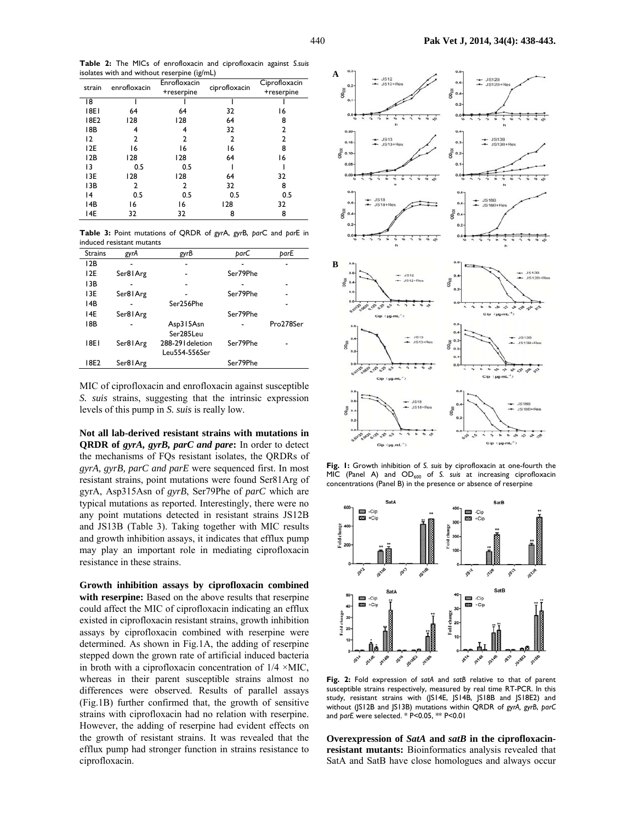**Table 2:** The MICs of enrofloxacin and ciprofloxacin against *S.suis*  isolates with and without reserpine (ìg/mL)

| strain | enrofloxacin | Enrofloxacin<br>+reserpine | ciprofloxacin | Ciprofloxacin<br>+reserpine |
|--------|--------------|----------------------------|---------------|-----------------------------|
| 18     |              |                            |               |                             |
| 18E1   | 64           | 64                         | 32            | 16                          |
| 18E2   | 128          | 128                        | 64            | 8                           |
| 18B    | 4            | 4                          | 32            | 2                           |
| 12     | 2            | 2                          | 2             | 2                           |
| 12E    | 16           | 16                         | 16            | 8                           |
| 12B    | 128          | 128                        | 64            | 16                          |
| 13     | 0.5          | 0.5                        |               |                             |
| 13E    | 128          | 128                        | 64            | 32                          |
| 13B    | 2            | 2                          | 32            | 8                           |
| 4      | 0.5          | 0.5                        | 0.5           | 0.5                         |
| 14B    | 16           | 16                         | 128           | 32                          |
| 14E    | 32           | 32                         | 8             | 8                           |

**Table 3:** Point mutations of QRDR of *gyr*A, *gyr*B, *par*C and *par*E in induced resistant mutants

| <b>Strains</b> | gyrA     | gyrB              | parC     | parE      |
|----------------|----------|-------------------|----------|-----------|
| 12B            |          |                   |          |           |
| 12E            | Ser81Arg |                   | Ser79Phe |           |
| 13B            |          |                   |          |           |
| 13E            | Ser81Arg |                   | Ser79Phe |           |
| 14B            |          | Ser256Phe         |          |           |
| 14E            | Ser81Arg |                   | Ser79Phe |           |
| 18B            |          | Asp315Asn         |          | Pro278Ser |
|                |          | Ser285Leu         |          |           |
| 18E I          | Ser81Arg | 288-29 I deletion | Ser79Phe |           |
|                |          | Leu554-556Ser     |          |           |
| 18E2           | Ser81Arg |                   | Ser79Phe |           |

MIC of ciprofloxacin and enrofloxacin against susceptible *S. suis* strains, suggesting that the intrinsic expression levels of this pump in *S. suis* is really low.

**Not all lab-derived resistant strains with mutations in QRDR of** *gyrA, gyrB, parC and pare***:** In order to detect the mechanisms of FQs resistant isolates, the QRDRs of *gyrA, gyrB, parC and parE* were sequenced first. In most resistant strains, point mutations were found Ser81Arg of gyrA, Asp315Asn of *gyrB*, Ser79Phe of *parC* which are typical mutations as reported. Interestingly, there were no any point mutations detected in resistant strains JS12B and JS13B (Table 3). Taking together with MIC results and growth inhibition assays, it indicates that efflux pump may play an important role in mediating ciprofloxacin resistance in these strains.

**Growth inhibition assays by ciprofloxacin combined**  with reserpine: Based on the above results that reserpine could affect the MIC of ciprofloxacin indicating an efflux existed in ciprofloxacin resistant strains, growth inhibition assays by ciprofloxacin combined with reserpine were determined. As shown in Fig.1A, the adding of reserpine stepped down the grown rate of artificial induced bacteria in broth with a ciprofloxacin concentration of  $1/4 \times MIC$ , whereas in their parent susceptible strains almost no differences were observed. Results of parallel assays (Fig.1B) further confirmed that, the growth of sensitive strains with ciprofloxacin had no relation with reserpine. However, the adding of reserpine had evident effects on the growth of resistant strains. It was revealed that the efflux pump had stronger function in strains resistance to ciprofloxacin.



**Fig. 1:** Growth inhibition of *S. suis* by ciprofloxacin at one-fourth the MIC (Panel A) and OD<sub>600</sub> of S. suis at increasing ciprofloxacin concentrations (Panel B) in the presence or absence of reserpine



**Fig. 2:** Fold expression of *satA* and *satB* relative to that of parent susceptible strains respectively, measured by real time RT-PCR. In this study, resistant strains with (JS14E, JS14B, JS18B and JS18E2) and without (JS12B and JS13B) mutations within QRDR of *gyrA, gyrB*, *parC* and *parE* were selected. \* P<0.05, \*\* P<0.01

**Overexpression of** *SatA* **and** *satB* **in the ciprofloxacinresistant mutants:** Bioinformatics analysis revealed that SatA and SatB have close homologues and always occur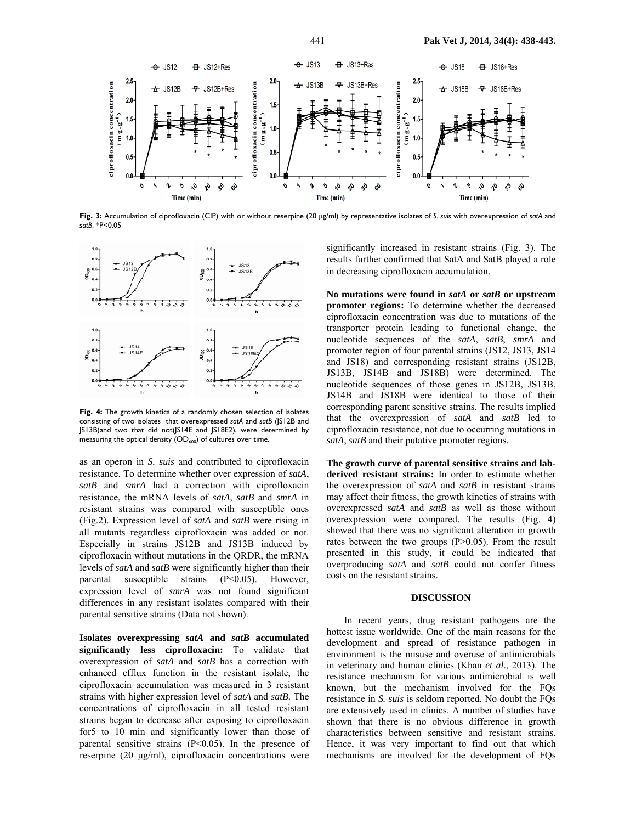

**Fig. 3:** Accumulation of ciprofloxacin (CIP) with or without reserpine (20 µg/ml) by representative isolates of *S. suis* with overexpression of *satA* and *satB*. \*P<0.05



**Fig. 4:** The growth kinetics of a randomly chosen selection of isolates consisting of two isolates that overexpressed *satA* and *satB* (JS12B and JS13B)and two that did not(JS14E and JS18E2), were determined by measuring the optical density  $(OD_{600})$  of cultures over time.

as an operon in *S. suis* and contributed to ciprofloxacin resistance. To determine whether over expression of *satA*, *satB* and *smrA* had a correction with ciprofloxacin resistance, the mRNA levels of *satA*, *satB* and *smrA* in resistant strains was compared with susceptible ones (Fig.2). Expression level of *satA* and *satB* were rising in all mutants regardless ciprofloxacin was added or not. Especially in strains JS12B and JS13B induced by ciprofloxacin without mutations in the QRDR, the mRNA levels of *satA* and *satB* were significantly higher than their parental susceptible strains (P<0.05). However, expression level of *smrA* was not found significant differences in any resistant isolates compared with their parental sensitive strains (Data not shown).

**Isolates overexpressing** *satA* **and** *satB* **accumulated significantly less ciprofloxacin:** To validate that overexpression of *satA* and *satB* has a correction with enhanced efflux function in the resistant isolate, the ciprofloxacin accumulation was measured in 3 resistant strains with higher expression level of *satA* and *satB.* The concentrations of ciprofloxacin in all tested resistant strains began to decrease after exposing to ciprofloxacin for5 to 10 min and significantly lower than those of parental sensitive strains  $(P<0.05)$ . In the presence of reserpine (20 µg/ml), ciprofloxacin concentrations were significantly increased in resistant strains (Fig. 3). The results further confirmed that SatA and SatB played a role in decreasing ciprofloxacin accumulation.

**No mutations were found in** *satA* **or** *satB* **or upstream promoter regions:** To determine whether the decreased ciprofloxacin concentration was due to mutations of the transporter protein leading to functional change, the nucleotide sequences of the *satA*, *satB*, *smrA* and promoter region of four parental strains (JS12, JS13, JS14 and JS18) and corresponding resistant strains (JS12B, JS13B, JS14B and JS18B) were determined. The nucleotide sequences of those genes in JS12B, JS13B, JS14B and JS18B were identical to those of their corresponding parent sensitive strains. The results implied that the overexpression of *satA* and *satB* led to ciprofloxacin resistance, not due to occurring mutations in *satA*, *satB* and their putative promoter regions.

**The growth curve of parental sensitive strains and labderived resistant strains:** In order to estimate whether the overexpression of *satA* and *satB* in resistant strains may affect their fitness, the growth kinetics of strains with overexpressed *satA* and *satB* as well as those without overexpression were compared. The results (Fig. 4) showed that there was no significant alteration in growth rates between the two groups (P>0.05). From the result presented in this study, it could be indicated that overproducing *satA* and *satB* could not confer fitness costs on the resistant strains.

#### **DISCUSSION**

In recent years, drug resistant pathogens are the hottest issue worldwide. One of the main reasons for the development and spread of resistance pathogen in environment is the misuse and overuse of antimicrobials in veterinary and human clinics (Khan *et al*., 2013). The resistance mechanism for various antimicrobial is well known, but the mechanism involved for the FQs resistance in *S. suis* is seldom reported. No doubt the FQs are extensively used in clinics. A number of studies have shown that there is no obvious difference in growth characteristics between sensitive and resistant strains. Hence, it was very important to find out that which mechanisms are involved for the development of FQs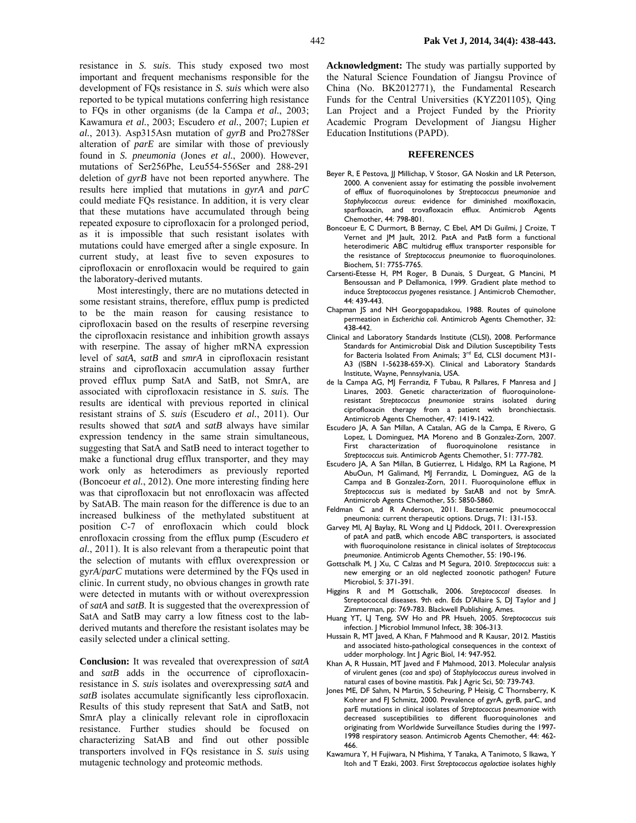resistance in *S. suis*. This study exposed two most important and frequent mechanisms responsible for the development of FQs resistance in *S. suis* which were also reported to be typical mutations conferring high resistance to FQs in other organisms (de la Campa *et al.*, 2003; Kawamura *et al.*, 2003; Escudero *et al.*, 2007; Lupien *et al.*, 2013). Asp315Asn mutation of *gyrB* and Pro278Ser alteration of *parE* are similar with those of previously found in *S. pneumonia* (Jones *et al.*, 2000). However, mutations of Ser256Phe, Leu554-556Ser and 288-291 deletion of *gyrB* have not been reported anywhere. The results here implied that mutations in *gyrA* and *parC*  could mediate FQs resistance. In addition, it is very clear that these mutations have accumulated through being repeated exposure to ciprofloxacin for a prolonged period, as it is impossible that such resistant isolates with mutations could have emerged after a single exposure. In current study, at least five to seven exposures to ciprofloxacin or enrofloxacin would be required to gain the laboratory-derived mutants.

Most interestingly, there are no mutations detected in some resistant strains, therefore, efflux pump is predicted to be the main reason for causing resistance to ciprofloxacin based on the results of reserpine reversing the ciprofloxacin resistance and inhibition growth assays with reserpine. The assay of higher mRNA expression level of *satA*, *satB* and *smrA* in ciprofloxacin resistant strains and ciprofloxacin accumulation assay further proved efflux pump SatA and SatB, not SmrA, are associated with ciprofloxacin resistance in *S. suis.* The results are identical with previous reported in clinical resistant strains of *S. suis* (Escudero *et al.*, 2011). Our results showed that *satA* and *satB* always have similar expression tendency in the same strain simultaneous, suggesting that SatA and SatB need to interact together to make a functional drug efflux transporter, and they may work only as heterodimers as previously reported (Boncoeur *et al.*, 2012). One more interesting finding here was that ciprofloxacin but not enrofloxacin was affected by SatAB. The main reason for the difference is due to an increased bulkiness of the methylated substituent at position C-7 of enrofloxacin which could block enrofloxacin crossing from the efflux pump (Escudero *et al.*, 2011). It is also relevant from a therapeutic point that the selection of mutants with efflux overexpression or gy*rA*/*parC* mutations were determined by the FQs used in clinic. In current study, no obvious changes in growth rate were detected in mutants with or without overexpression of *satA* and *satB*. It is suggested that the overexpression of SatA and SatB may carry a low fitness cost to the labderived mutants and therefore the resistant isolates may be easily selected under a clinical setting.

**Conclusion:** It was revealed that overexpression of *satA* and *satB* adds in the occurrence of ciprofloxacinresistance in *S. suis* isolates and overexpressing *satA* and *satB* isolates accumulate significantly less ciprofloxacin. Results of this study represent that SatA and SatB, not SmrA play a clinically relevant role in ciprofloxacin resistance. Further studies should be focused on characterizing SatAB and find out other possible transporters involved in FQs resistance in *S. suis* using mutagenic technology and proteomic methods.

**Acknowledgment:** The study was partially supported by the Natural Science Foundation of Jiangsu Province of China (No. BK2012771), the Fundamental Research Funds for the Central Universities (KYZ201105), Qing Lan Project and a Project Funded by the Priority Academic Program Development of Jiangsu Higher Education Institutions (PAPD).

### **REFERENCES**

- Beyer R, E Pestova, JJ Millichap, V Stosor, GA Noskin and LR Peterson, 2000. A convenient assay for estimating the possible involvement of efflux of fluoroquinolones by *Streptococcus pneumoniae* and *Staphylococcus aureus*: evidence for diminished moxifloxacin, sparfloxacin, and trovafloxacin efflux. Antimicrob Agents Chemother, 44: 798-801.
- Boncoeur E, C Durmort, B Bernay, C Ebel, AM Di Guilmi, J Croize, T Vernet and JM Jault, 2012. PatA and PatB form a functional heterodimeric ABC multidrug efflux transporter responsible for the resistance of *Streptococcus pneumoniae* to fluoroquinolones. Biochem, 51: 7755-7765.
- Carsenti-Etesse H, PM Roger, B Dunais, S Durgeat, G Mancini, M Bensoussan and P Dellamonica, 1999. Gradient plate method to induce *Streptococcus pyogenes* resistance. J Antimicrob Chemother, 44: 439-443.
- Chapman JS and NH Georgopapadakou, 1988. Routes of quinolone permeation in *Escherichia coli*. Antimicrob Agents Chemother, 32: 438-442.
- Clinical and Laboratory Standards Institute (CLSI), 2008. Performance Standards for Antimicrobial Disk and Dilution Susceptibility Tests for Bacteria Isolated From Animals; 3<sup>rd</sup> Ed, CLSI document M31-A3 (ISBN 1-56238-659-X). Clinical and Laboratory Standards Institute, Wayne, Pennsylvania, USA.
- de la Campa AG, MJ Ferrandiz, F Tubau, R Pallares, F Manresa and J Linares, 2003. Genetic characterization of fluoroquinoloneresistant *Streptococcus pneumoniae* strains isolated during ciprofloxacin therapy from a patient with bronchiectasis. Antimicrob Agents Chemother, 47: 1419-1422.
- Escudero JA, A San Millan, A Catalan, AG de la Campa, E Rivero, G Lopez, L Dominguez, MA Moreno and B Gonzalez-Zorn, 2007. First characterization of fluoroquinolone resistance in *Streptococcus suis*. Antimicrob Agents Chemother, 51: 777-782.
- Escudero JA, A San Millan, B Gutierrez, L Hidalgo, RM La Ragione, M AbuOun, M Galimand, MJ Ferrandiz, L Dominguez, AG de la Campa and B Gonzalez-Zorn, 2011. Fluoroquinolone efflux in *Streptococcus suis* is mediated by SatAB and not by SmrA. Antimicrob Agents Chemother, 55: 5850-5860.
- Feldman C and R Anderson, 2011. Bacteraemic pneumococcal pneumonia: current therapeutic options. Drugs, 71: 131-153.
- Garvey MI, AJ Baylay, RL Wong and LJ Piddock, 2011. Overexpression of patA and patB, which encode ABC transporters, is associated with fluoroquinolone resistance in clinical isolates of *Streptococcus pneumoniae*. Antimicrob Agents Chemother, 55: 190-196.
- Gottschalk M, J Xu, C Calzas and M Segura, 2010. *Streptococcus suis*: a new emerging or an old neglected zoonotic pathogen? Future Microbiol, 5: 371-391.
- Higgins R and M Gottschalk, 2006. *Streptococcal diseases*. In Streptococcal diseases. 9th edn. Eds D'Allaire S, DJ Taylor and J Zimmerman, pp: 769-783. Blackwell Publishing, Ames.
- Huang YT, LJ Teng, SW Ho and PR Hsueh, 2005. *Streptococcus suis* infection. J Microbiol Immunol Infect, 38: 306-313.
- Hussain R, MT Javed, A Khan, F Mahmood and R Kausar, 2012. Mastitis and associated histo-pathological consequences in the context of udder morphology. Int J Agric Biol, 14: 947-952.
- Khan A, R Hussain, MT Javed and F Mahmood, 2013. Molecular analysis of virulent genes (*coa* and *spa*) of *Staphylococcus aureus* involved in natural cases of bovine mastitis. Pak J Agric Sci, 50: 739-743.
- Jones ME, DF Sahm, N Martin, S Scheuring, P Heisig, C Thornsberry, K Kohrer and FJ Schmitz, 2000. Prevalence of gyrA, gyrB, parC, and parE mutations in clinical isolates of *Streptococcus pneumoniae* with decreased susceptibilities to different fluoroquinolones and originating from Worldwide Surveillance Studies during the 1997- 1998 respiratory season. Antimicrob Agents Chemother, 44: 462- 466.
- Kawamura Y, H Fujiwara, N Mishima, Y Tanaka, A Tanimoto, S Ikawa, Y Itoh and T Ezaki, 2003. First *Streptococcus agalactiae* isolates highly